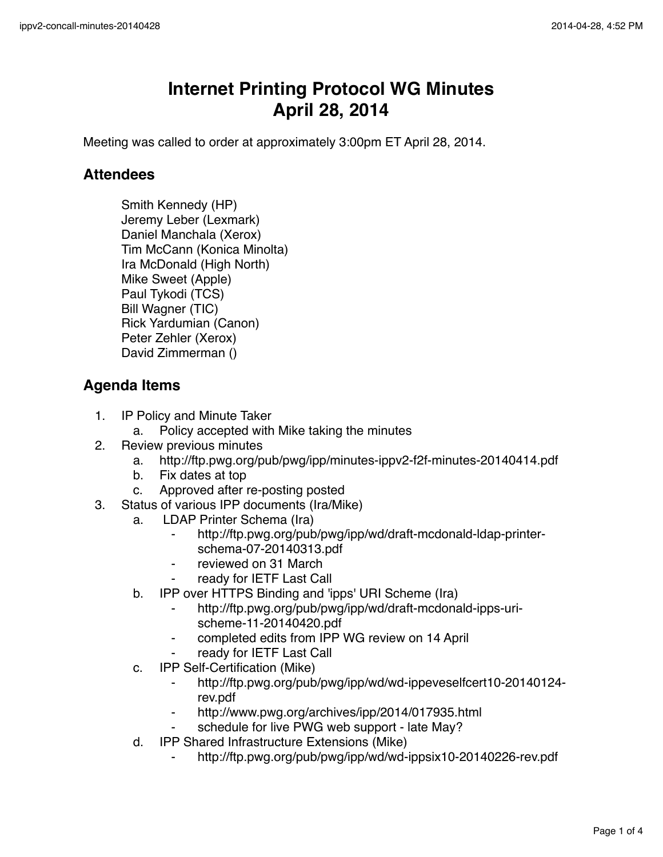## **Internet Printing Protocol WG Minutes April 28, 2014**

Meeting was called to order at approximately 3:00pm ET April 28, 2014.

## **Attendees**

Smith Kennedy (HP) Jeremy Leber (Lexmark) Daniel Manchala (Xerox) Tim McCann (Konica Minolta) Ira McDonald (High North) Mike Sweet (Apple) Paul Tykodi (TCS) Bill Wagner (TIC) Rick Yardumian (Canon) Peter Zehler (Xerox) David Zimmerman ()

## **Agenda Items**

- 1. IP Policy and Minute Taker
	- a. Policy accepted with Mike taking the minutes
- 2. Review previous minutes
	- a. http://ftp.pwg.org/pub/pwg/ipp/minutes-ippv2-f2f-minutes-20140414.pdf
	- b. Fix dates at top
	- c. Approved after re-posting posted
- 3. Status of various IPP documents (Ira/Mike)
	- a. LDAP Printer Schema (Ira)
		- http://ftp.pwg.org/pub/pwg/ipp/wd/draft-mcdonald-ldap-printerschema-07-20140313.pdf
		- reviewed on 31 March
		- ⁃ ready for IETF Last Call
	- b. IPP over HTTPS Binding and 'ipps' URI Scheme (Ira)
		- ⁃ http://ftp.pwg.org/pub/pwg/ipp/wd/draft-mcdonald-ipps-urischeme-11-20140420.pdf
		- completed edits from IPP WG review on 14 April
		- ready for IETF Last Call
	- c. IPP Self-Certification (Mike)
		- ⁃ http://ftp.pwg.org/pub/pwg/ipp/wd/wd-ippeveselfcert10-20140124 rev.pdf
		- http://www.pwg.org/archives/ipp/2014/017935.html
		- schedule for live PWG web support late May?
	- d. IPP Shared Infrastructure Extensions (Mike)
		- http://ftp.pwg.org/pub/pwg/ipp/wd/wd-ippsix10-20140226-rev.pdf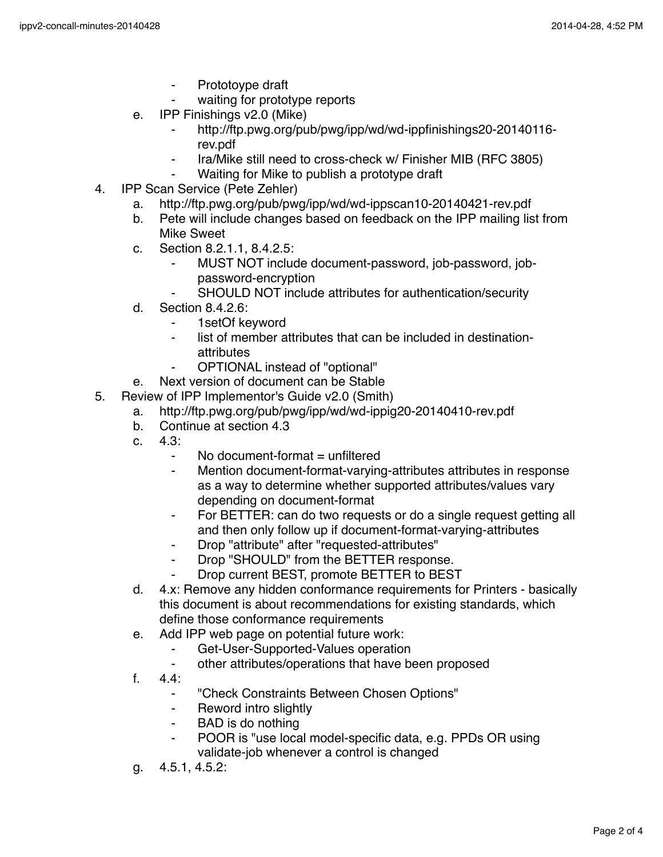- ⁃ Prototoype draft
- waiting for prototype reports
- e. IPP Finishings v2.0 (Mike)
	- ⁃ http://ftp.pwg.org/pub/pwg/ipp/wd/wd-ippfinishings20-20140116 rev.pdf
	- Ira/Mike still need to cross-check w/ Finisher MIB (RFC 3805)
	- ⁃ Waiting for Mike to publish a prototype draft
- 4. IPP Scan Service (Pete Zehler)
	- a. http://ftp.pwg.org/pub/pwg/ipp/wd/wd-ippscan10-20140421-rev.pdf
	- b. Pete will include changes based on feedback on the IPP mailing list from Mike Sweet
	- c. Section 8.2.1.1, 8.4.2.5:
		- MUST NOT include document-password, job-password, jobpassword-encryption
		- SHOULD NOT include attributes for authentication/security
	- d. Section 8.4.2.6:
		- ⁃ 1setOf keyword
		- list of member attributes that can be included in destinationattributes
		- OPTIONAL instead of "optional"
	- e. Next version of document can be Stable
- 5. Review of IPP Implementor's Guide v2.0 (Smith)
	- a. http://ftp.pwg.org/pub/pwg/ipp/wd/wd-ippig20-20140410-rev.pdf
	- b. Continue at section 4.3
	- c. 4.3:
		- No document-format  $=$  unfiltered
		- ⁃ Mention document-format-varying-attributes attributes in response as a way to determine whether supported attributes/values vary depending on document-format
		- ⁃ For BETTER: can do two requests or do a single request getting all and then only follow up if document-format-varying-attributes
		- ⁃ Drop "attribute" after "requested-attributes"
		- Drop "SHOULD" from the BETTER response.
		- ⁃ Drop current BEST, promote BETTER to BEST
	- d. 4.x: Remove any hidden conformance requirements for Printers basically this document is about recommendations for existing standards, which define those conformance requirements
	- e. Add IPP web page on potential future work:
		- ⁃ Get-User-Supported-Values operation
		- other attributes/operations that have been proposed
	- f. 4.4:
		- ⁃ "Check Constraints Between Chosen Options"
		- Reword intro slightly
		- ⁃ BAD is do nothing
		- ⁃ POOR is "use local model-specific data, e.g. PPDs OR using validate-job whenever a control is changed
	- g. 4.5.1, 4.5.2: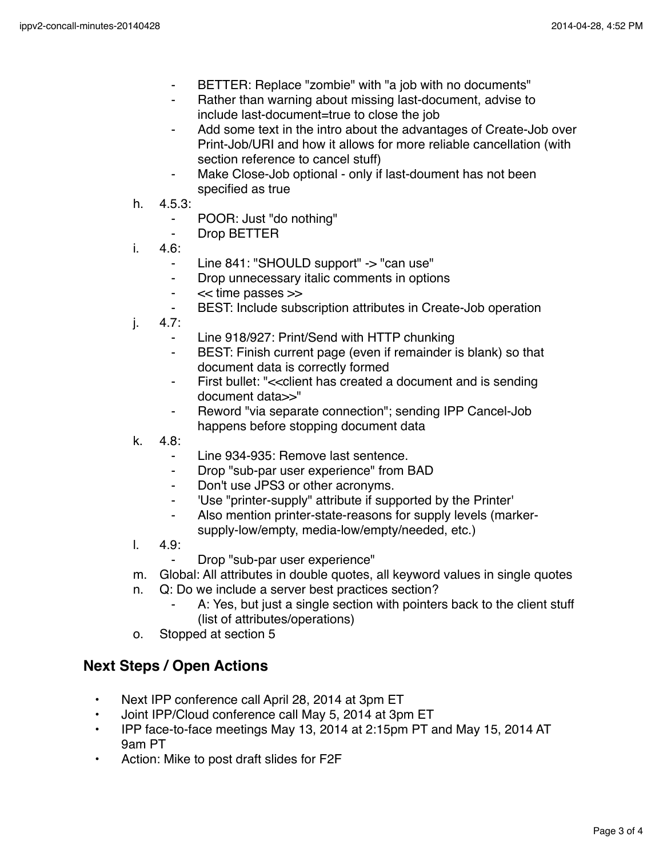- ⁃ BETTER: Replace "zombie" with "a job with no documents"
- Rather than warning about missing last-document, advise to include last-document=true to close the job
- Add some text in the intro about the advantages of Create-Job over Print-Job/URI and how it allows for more reliable cancellation (with section reference to cancel stuff)
- Make Close-Job optional only if last-doument has not been specified as true
- h. 4.5.3:
	- ⁃ POOR: Just "do nothing"
	- ⁃ Drop BETTER
- i. 4.6:
	- Line 841: "SHOULD support" -> "can use"
	- ⁃ Drop unnecessary italic comments in options
	- ⁃ << time passes >>
	- BEST: Include subscription attributes in Create-Job operation
- j. 4.7:
	- Line 918/927: Print/Send with HTTP chunking
	- BEST: Finish current page (even if remainder is blank) so that document data is correctly formed
	- First bullet: "<< client has created a document and is sending document data>>"
	- Reword "via separate connection"; sending IPP Cancel-Job happens before stopping document data
- k. 4.8:
	- Line 934-935: Remove last sentence.
	- ⁃ Drop "sub-par user experience" from BAD
	- Don't use JPS3 or other acronyms.
	- 'Use "printer-supply" attribute if supported by the Printer'
	- Also mention printer-state-reasons for supply levels (markersupply-low/empty, media-low/empty/needed, etc.)
- l. 4.9:
	- Drop "sub-par user experience"
- m. Global: All attributes in double quotes, all keyword values in single quotes
- n. Q: Do we include a server best practices section?
	- A: Yes, but just a single section with pointers back to the client stuff (list of attributes/operations)
- o. Stopped at section 5

## **Next Steps / Open Actions**

- Next IPP conference call April 28, 2014 at 3pm ET
- Joint IPP/Cloud conference call May 5, 2014 at 3pm ET
- IPP face-to-face meetings May 13, 2014 at 2:15pm PT and May 15, 2014 AT 9am PT
- Action: Mike to post draft slides for F2F